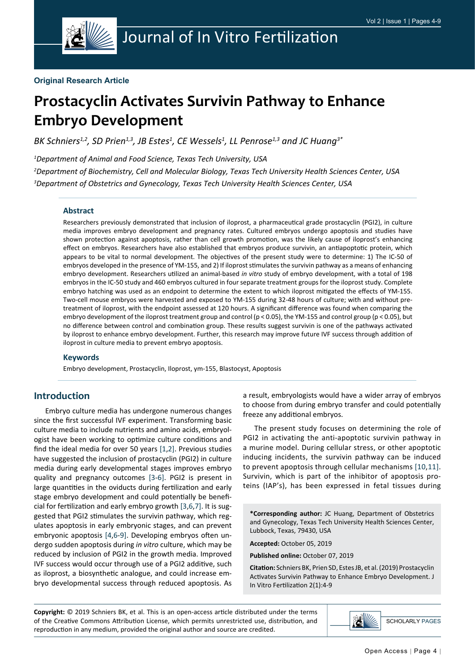

#### **Original Research Article**

# **Prostacyclin Activates Survivin Pathway to Enhance Embryo Development**

BK Schniers<sup>1,2</sup>, SD Prien<sup>1,3</sup>, JB Estes<sup>1</sup>, CE Wessels<sup>1</sup>, LL Penrose<sup>1,3</sup> and JC Huang<sup>3\*</sup>

*1 Department of Animal and Food Science, Texas Tech University, USA*

*2 Department of Biochemistry, Cell and Molecular Biology, Texas Tech University Health Sciences Center, USA 3 Department of Obstetrics and Gynecology, Texas Tech University Health Sciences Center, USA*

#### **Abstract**

Researchers previously demonstrated that inclusion of iloprost, a pharmaceutical grade prostacyclin (PGI2), in culture media improves embryo development and pregnancy rates. Cultured embryos undergo apoptosis and studies have shown protection against apoptosis, rather than cell growth promotion, was the likely cause of iloprost's enhancing effect on embryos. Researchers have also established that embryos produce survivin, an antiapoptotic protein, which appears to be vital to normal development. The objectives of the present study were to determine: 1) The IC-50 of embryos developed in the presence of YM-155, and 2) If iloprost stimulates the survivin pathway as a means of enhancing embryo development. Researchers utilized an animal-based *in vitro* study of embryo development, with a total of 198 embryos in the IC-50 study and 460 embryos cultured in four separate treatment groups for the iloprost study. Complete embryo hatching was used as an endpoint to determine the extent to which iloprost mitigated the effects of YM-155. Two-cell mouse embryos were harvested and exposed to YM-155 during 32-48 hours of culture; with and without pretreatment of iloprost, with the endpoint assessed at 120 hours. A significant difference was found when comparing the embryo development of the iloprost treatment group and control (p < 0.05), the YM-155 and control group (p < 0.05), but no difference between control and combination group. These results suggest survivin is one of the pathways activated by iloprost to enhance embryo development. Further, this research may improve future IVF success through addition of iloprost in culture media to prevent embryo apoptosis.

#### **Keywords**

Embryo development, Prostacyclin, Iloprost, ym-155, Blastocyst, Apoptosis

## **Introduction**

Embryo culture media has undergone numerous changes since the first successful IVF experiment. Transforming basic culture media to include nutrients and amino acids, embryologist have been working to optimize culture conditions and find the ideal media for over 50 years [\[1](#page-4-0),[2\]](#page-4-1). Previous studies have suggested the inclusion of prostacyclin (PGI2) in culture media during early developmental stages improves embryo quality and pregnancy outcomes [[3-](#page-4-2)[6\]](#page-5-0). PGI2 is present in large quantities in the oviducts during fertilization and early stage embryo development and could potentially be beneficial for fertilization and early embryo growth [\[3](#page-4-2),[6](#page-5-0)[,7](#page-5-1)]. It is suggested that PGI2 stimulates the survivin pathway, which regulates apoptosis in early embryonic stages, and can prevent embryonic apoptosis [[4](#page-5-2)[,6](#page-5-0)[-9\]](#page-5-3). Developing embryos often undergo sudden apoptosis during *in vitro* culture, which may be reduced by inclusion of PGI2 in the growth media. Improved IVF success would occur through use of a PGI2 additive, such as iloprost, a biosynthetic analogue, and could increase embryo developmental success through reduced apoptosis. As

a result, embryologists would have a wider array of embryos to choose from during embryo transfer and could potentially freeze any additional embryos.

The present study focuses on determining the role of PGI2 in activating the anti-apoptotic survivin pathway in a murine model. During cellular stress, or other apoptotic inducing incidents, the survivin pathway can be induced to prevent apoptosis through cellular mechanisms [\[10,](#page-5-4)[11\]](#page-5-5). Survivin, which is part of the inhibitor of apoptosis proteins (IAP's), has been expressed in fetal tissues during

**\*Corresponding author:** JC Huang, Department of Obstetrics and Gynecology, Texas Tech University Health Sciences Center, Lubbock, Texas, 79430, USA

**Accepted:** October 05, 2019

**Published online:** October 07, 2019

**Citation:** Schniers BK, Prien SD, Estes JB, et al. (2019) Prostacyclin Activates Survivin Pathway to Enhance Embryo Development. J In Vitro Fertilization 2(1):4-9

**Copyright:** © 2019 Schniers BK, et al. This is an open-access article distributed under the terms of the Creative Commons Attribution License, which permits unrestricted use, distribution, and reproduction in any medium, provided the original author and source are credited.

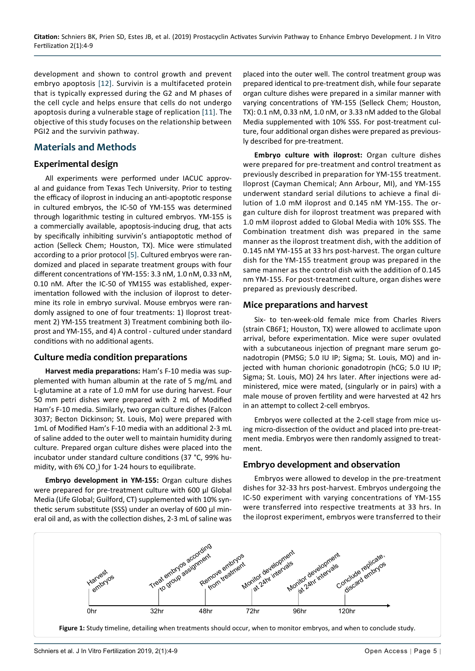development and shown to control growth and prevent embryo apoptosis [\[12\]](#page-5-6). Survivin is a multifaceted protein that is typically expressed during the G2 and M phases of the cell cycle and helps ensure that cells do not undergo apoptosis during a vulnerable stage of replication [\[11\]](#page-5-5). The objective of this study focuses on the relationship between PGI2 and the survivin pathway.

## **Materials and Methods**

#### **Experimental design**

All experiments were performed under IACUC approval and guidance from Texas Tech University. Prior to testing the efficacy of iloprost in inducing an anti-apoptotic response in cultured embryos, the IC-50 of YM-155 was determined through logarithmic testing in cultured embryos. YM-155 is a commercially available, apoptosis-inducing drug, that acts by specifically inhibiting survivin's antiapoptotic method of action (Selleck Chem; Houston, TX). Mice were stimulated according to a prior protocol [[5](#page-5-7)]. Cultured embryos were randomized and placed in separate treatment groups with four different concentrations of YM-155: 3.3 nM, 1.0 nM, 0.33 nM, 0.10 nM. After the IC-50 of YM155 was established, experimentation followed with the inclusion of iloprost to determine its role in embryo survival. Mouse embryos were randomly assigned to one of four treatments: 1) Iloprost treatment 2) YM-155 treatment 3) Treatment combining both iloprost and YM-155, and 4) A control - cultured under standard conditions with no additional agents.

## **Culture media condition preparations**

**Harvest media preparations:** Ham's F-10 media was supplemented with human albumin at the rate of 5 mg/mL and L-glutamine at a rate of 1.0 mM for use during harvest. Four 50 mm petri dishes were prepared with 2 mL of Modified Ham's F-10 media. Similarly, two organ culture dishes (Falcon 3037; Becton Dickinson; St. Louis, Mo) were prepared with 1mL of Modified Ham's F-10 media with an additional 2-3 mL of saline added to the outer well to maintain humidity during culture. Prepared organ culture dishes were placed into the incubator under standard culture conditions (37 °C, 99% humidity, with 6% CO<sub>2</sub>) for 1-24 hours to equilibrate.

**Embryo development in YM-155:** Organ culture dishes were prepared for pre-treatment culture with 600 µl Global Media (Life Global; Guilford, CT) supplemented with 10% synthetic serum substitute (SSS) under an overlay of 600 µl mineral oil and, as with the collection dishes, 2-3 mL of saline was

placed into the outer well. The control treatment group was prepared identical to pre-treatment dish, while four separate organ culture dishes were prepared in a similar manner with varying concentrations of YM-155 (Selleck Chem; Houston, TX): 0.1 nM, 0.33 nM, 1.0 nM, or 3.33 nM added to the Global Media supplemented with 10% SSS. For post-treatment culture, four additional organ dishes were prepared as previously described for pre-treatment.

**Embryo culture with iloprost:** Organ culture dishes were prepared for pre-treatment and control treatment as previously described in preparation for YM-155 treatment. Iloprost (Cayman Chemical; Ann Arbour, MI), and YM-155 underwent standard serial dilutions to achieve a final dilution of 1.0 mM iloprost and 0.145 nM YM-155. The organ culture dish for iloprost treatment was prepared with 1.0 mM iloprost added to Global Media with 10% SSS. The Combination treatment dish was prepared in the same manner as the iloprost treatment dish, with the addition of 0.145 nM YM-155 at 33 hrs post-harvest. The organ culture dish for the YM-155 treatment group was prepared in the same manner as the control dish with the addition of 0.145 nm YM-155. For post-treatment culture, organ dishes were prepared as previously described.

#### **Mice preparations and harvest**

Six- to ten-week-old female mice from Charles Rivers (strain CB6F1; Houston, TX) were allowed to acclimate upon arrival, before experimentation. Mice were super ovulated with a subcutaneous injection of pregnant mare serum gonadotropin (PMSG; 5.0 IU IP; Sigma; St. Louis, MO) and injected with human chorionic gonadotropin (hCG; 5.0 IU IP; Sigma; St. Louis, MO) 24 hrs later. After injections were administered, mice were mated, (singularly or in pairs) with a male mouse of proven fertility and were harvested at 42 hrs in an attempt to collect 2-cell embryos.

Embryos were collected at the 2-cell stage from mice using micro-dissection of the oviduct and placed into pre-treatment media. Embryos were then randomly assigned to treatment.

## **Embryo development and observation**

Embryos were allowed to develop in the pre-treatment dishes for 32-33 hrs post-harvest. Embryos undergoing the IC-50 experiment with varying concentrations of YM-155 were transferred into respective treatments at 33 hrs. In the iloprost experiment, embryos were transferred to their

<span id="page-1-0"></span>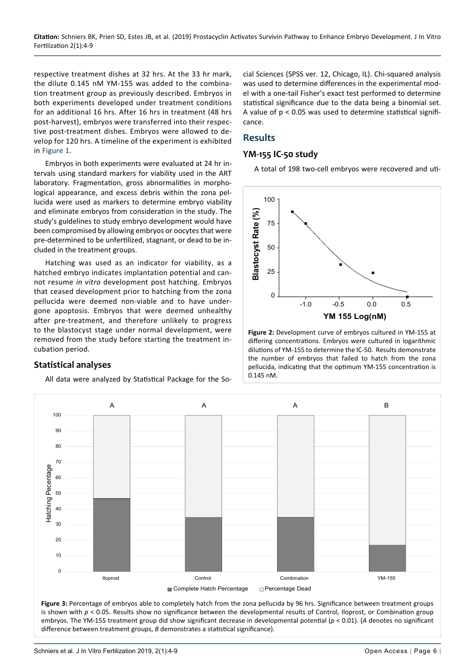respective treatment dishes at 32 hrs. At the 33 hr mark, the dilute 0.145 nM YM-155 was added to the combination treatment group as previously described. Embryos in both experiments developed under treatment conditions for an additional 16 hrs. After 16 hrs in treatment (48 hrs post-harvest), embryos were transferred into their respective post-treatment dishes. Embryos were allowed to develop for 120 hrs. A timeline of the experiment is exhibited in [Figure 1](#page-1-0).

Embryos in both experiments were evaluated at 24 hr intervals using standard markers for viability used in the ART laboratory. Fragmentation, gross abnormalities in morphological appearance, and excess debris within the zona pellucida were used as markers to determine embryo viability and eliminate embryos from consideration in the study. The study's guidelines to study embryo development would have been compromised by allowing embryos or oocytes that were pre-determined to be unfertilized, stagnant, or dead to be included in the treatment groups.

Hatching was used as an indicator for viability, as a hatched embryo indicates implantation potential and cannot resume *in vitro* development post hatching. Embryos that ceased development prior to hatching from the zona pellucida were deemed non-viable and to have undergone apoptosis. Embryos that were deemed unhealthy after pre-treatment, and therefore unlikely to progress to the blastocyst stage under normal development, were removed from the study before starting the treatment incubation period.

## **Statistical analyses**

All data were analyzed by Statistical Package for the So-

cial Sciences (SPSS ver. 12, Chicago, IL). Chi-squared analysis was used to determine differences in the experimental model with a one-tail Fisher's exact test performed to determine statistical significance due to the data being a binomial set. A value of  $p < 0.05$  was used to determine statistical significance.

#### **Results**

#### **YM-155 IC-50 study**

A total of 198 two-cell embryos were recovered and uti-

<span id="page-2-1"></span>

**Figure 2:** Development curve of embryos cultured in YM-155 at differing concentrations. Embryos were cultured in logarithmic dilutions of YM-155 to determine the IC-50. Results demonstrate the number of embryos that failed to hatch from the zona pellucida, indicating that the optimum YM-155 concentration is 0.145 nM.

<span id="page-2-0"></span>

Schniers et al. J In Vitro Fertilization 2019, 2(1):4-9 Channel Control of Control of Control of Control of Control of Control of Control of Control of Control of Control of Control of Control of Control of Control of Cont

difference between treatment groups, *B* demonstrates a statistical significance).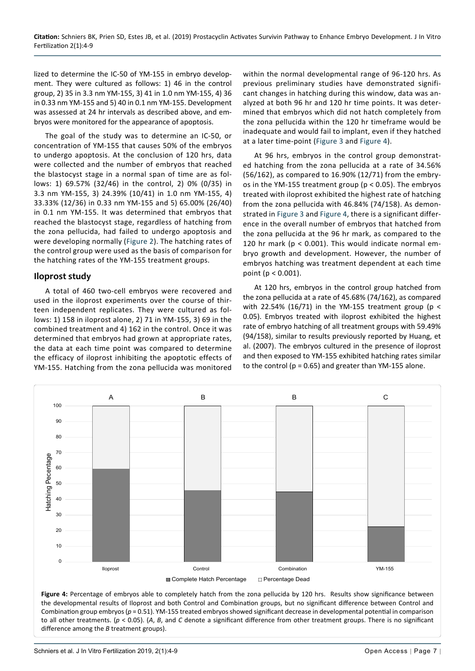lized to determine the IC-50 of YM-155 in embryo development. They were cultured as follows: 1) 46 in the control group, 2) 35 in 3.3 nm YM-155, 3) 41 in 1.0 nm YM-155, 4) 36 in 0.33 nm YM-155 and 5) 40 in 0.1 nm YM-155. Development was assessed at 24 hr intervals as described above, and embryos were monitored for the appearance of apoptosis.

The goal of the study was to determine an IC-50, or concentration of YM-155 that causes 50% of the embryos to undergo apoptosis. At the conclusion of 120 hrs, data were collected and the number of embryos that reached the blastocyst stage in a normal span of time are as follows: 1) 69.57% (32/46) in the control, 2) 0% (0/35) in 3.3 nm YM-155, 3) 24.39% (10/41) in 1.0 nm YM-155, 4) 33.33% (12/36) in 0.33 nm YM-155 and 5) 65.00% (26/40) in 0.1 nm YM-155. It was determined that embryos that reached the blastocyst stage, regardless of hatching from the zona pellucida, had failed to undergo apoptosis and were developing normally ([Figure 2\)](#page-2-1). The hatching rates of the control group were used as the basis of comparison for the hatching rates of the YM-155 treatment groups.

#### **Iloprost study**

A total of 460 two-cell embryos were recovered and used in the iloprost experiments over the course of thirteen independent replicates. They were cultured as follows: 1) 158 in iloprost alone, 2) 71 in YM-155, 3) 69 in the combined treatment and 4) 162 in the control. Once it was determined that embryos had grown at appropriate rates, the data at each time point was compared to determine the efficacy of iloprost inhibiting the apoptotic effects of YM-155. Hatching from the zona pellucida was monitored

within the normal developmental range of 96-120 hrs. As previous preliminary studies have demonstrated significant changes in hatching during this window, data was analyzed at both 96 hr and 120 hr time points. It was determined that embryos which did not hatch completely from the zona pellucida within the 120 hr timeframe would be inadequate and would fail to implant, even if they hatched at a later time-point [\(Figure 3](#page-2-0) and [Figure 4\)](#page-3-0).

At 96 hrs, embryos in the control group demonstrated hatching from the zona pellucida at a rate of 34.56% (56/162), as compared to 16.90% (12/71) from the embryos in the YM-155 treatment group (p < 0.05). The embryos treated with iloprost exhibited the highest rate of hatching from the zona pellucida with 46.84% (74/158). As demonstrated in [Figure 3](#page-2-0) and [Figure 4](#page-3-0), there is a significant difference in the overall number of embryos that hatched from the zona pellucida at the 96 hr mark, as compared to the 120 hr mark (p < 0.001). This would indicate normal embryo growth and development. However, the number of embryos hatching was treatment dependent at each time point (p < 0.001).

At 120 hrs, embryos in the control group hatched from the zona pellucida at a rate of 45.68% (74/162), as compared with 22.54% (16/71) in the YM-155 treatment group (p < 0.05). Embryos treated with iloprost exhibited the highest rate of embryo hatching of all treatment groups with 59.49% (94/158), similar to results previously reported by Huang, et al. (2007). The embryos cultured in the presence of iloprost and then exposed to YM-155 exhibited hatching rates similar to the control ( $p = 0.65$ ) and greater than YM-155 alone.

<span id="page-3-0"></span>

**Figure 4:** Percentage of embryos able to completely hatch from the zona pellucida by 120 hrs. Results show significance between the developmental results of Iloprost and both Control and Combination groups, but no significant difference between Control and Combination group embryos (*p* = 0.51). YM-155 treated embryos showed significant decrease in developmental potential in comparison to all other treatments. (*p* < 0.05). (*A*, *B*, and *C* denote a significant difference from other treatment groups. There is no significant difference among the *B* treatment groups).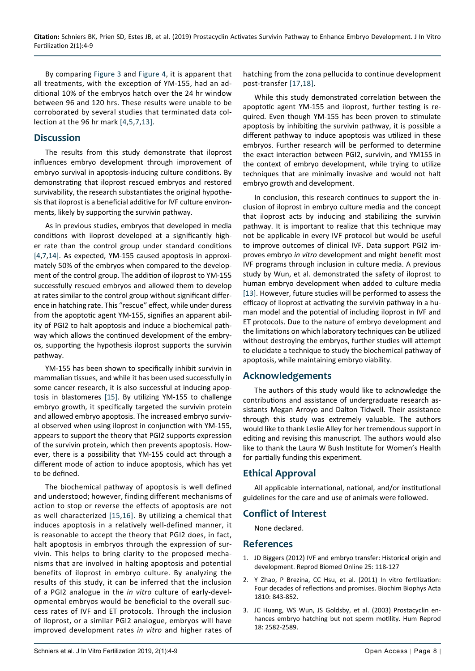By comparing [Figure 3](#page-2-0) and [Figure 4](#page-3-0), it is apparent that all treatments, with the exception of YM-155, had an additional 10% of the embryos hatch over the 24 hr window between 96 and 120 hrs. These results were unable to be corroborated by several studies that terminated data collection at the 96 hr mark [[4,](#page-5-2)[5](#page-5-7),[7,](#page-5-1)[13](#page-5-10)].

## **Discussion**

The results from this study demonstrate that iloprost influences embryo development through improvement of embryo survival in apoptosis-inducing culture conditions. By demonstrating that iloprost rescued embryos and restored survivability, the research substantiates the original hypothesis that iloprost is a beneficial additive for IVF culture environments, likely by supporting the survivin pathway.

As in previous studies, embryos that developed in media conditions with iloprost developed at a significantly higher rate than the control group under standard conditions [[4,](#page-5-2)[7](#page-5-1),[14\]](#page-5-11). As expected, YM-155 caused apoptosis in approximately 50% of the embryos when compared to the development of the control group. The addition of iloprost to YM-155 successfully rescued embryos and allowed them to develop at rates similar to the control group without significant difference in hatching rate. This "rescue" effect, while under duress from the apoptotic agent YM-155, signifies an apparent ability of PGI2 to halt apoptosis and induce a biochemical pathway which allows the continued development of the embryos, supporting the hypothesis iloprost supports the survivin pathway.

YM-155 has been shown to specifically inhibit survivin in mammalian tissues, and while it has been used successfully in some cancer research, it is also successful at inducing apoptosis in blastomeres [[15](#page-5-12)]. By utilizing YM-155 to challenge embryo growth, it specifically targeted the survivin protein and allowed embryo apoptosis. The increased embryo survival observed when using iloprost in conjunction with YM-155, appears to support the theory that PGI2 supports expression of the survivin protein, which then prevents apoptosis. However, there is a possibility that YM-155 could act through a different mode of action to induce apoptosis, which has yet to be defined.

The biochemical pathway of apoptosis is well defined and understood; however, finding different mechanisms of action to stop or reverse the effects of apoptosis are not as well characterized [[15](#page-5-12)[,16\]](#page-5-13). By utilizing a chemical that induces apoptosis in a relatively well-defined manner, it is reasonable to accept the theory that PGI2 does, in fact, halt apoptosis in embryos through the expression of survivin. This helps to bring clarity to the proposed mechanisms that are involved in halting apoptosis and potential benefits of iloprost in embryo culture. By analyzing the results of this study, it can be inferred that the inclusion of a PGI2 analogue in the *in vitro* culture of early-developmental embryos would be beneficial to the overall success rates of IVF and ET protocols. Through the inclusion of iloprost, or a similar PGI2 analogue, embryos will have improved development rates *in vitro* and higher rates of hatching from the zona pellucida to continue development post-transfer [\[17,](#page-5-8)[18](#page-5-9)].

While this study demonstrated correlation between the apoptotic agent YM-155 and iloprost, further testing is required. Even though YM-155 has been proven to stimulate apoptosis by inhibiting the survivin pathway, it is possible a different pathway to induce apoptosis was utilized in these embryos. Further research will be performed to determine the exact interaction between PGI2, survivin, and YM155 in the context of embryo development, while trying to utilize techniques that are minimally invasive and would not halt embryo growth and development.

In conclusion, this research continues to support the inclusion of iloprost in embryo culture media and the concept that iloprost acts by inducing and stabilizing the survivin pathway. It is important to realize that this technique may not be applicable in every IVF protocol but would be useful to improve outcomes of clinical IVF. Data support PGI2 improves embryo *in vitro* development and might benefit most IVF programs through inclusion in culture media. A previous study by Wun, et al. demonstrated the safety of iloprost to human embryo development when added to culture media [[13\]](#page-5-10). However, future studies will be performed to assess the efficacy of iloprost at activating the survivin pathway in a human model and the potential of including iloprost in IVF and ET protocols. Due to the nature of embryo development and the limitations on which laboratory techniques can be utilized without destroying the embryos, further studies will attempt to elucidate a technique to study the biochemical pathway of apoptosis, while maintaining embryo viability.

# **Acknowledgements**

The authors of this study would like to acknowledge the contributions and assistance of undergraduate research assistants Megan Arroyo and Dalton Tidwell. Their assistance through this study was extremely valuable. The authors would like to thank Leslie Alley for her tremendous support in editing and revising this manuscript. The authors would also like to thank the Laura W Bush Institute for Women's Health for partially funding this experiment.

# **Ethical Approval**

All applicable international, national, and/or institutional guidelines for the care and use of animals were followed.

# **Conflict of Interest**

None declared.

## **References**

- <span id="page-4-0"></span>1. [JD Biggers \(2012\) IVF and embryo transfer: Historical origin and](https://www.ncbi.nlm.nih.gov/pubmed/22695311)  [development. Reprod Biomed Online 25: 118-127](https://www.ncbi.nlm.nih.gov/pubmed/22695311)
- <span id="page-4-1"></span>2. [Y Zhao, P Brezina, CC Hsu, et al. \(2011\) In vitro fertilization:](https://www.ncbi.nlm.nih.gov/pubmed/21605628)  [Four decades of reflections and promises. Biochim Biophys Acta](https://www.ncbi.nlm.nih.gov/pubmed/21605628)  [1810: 843-852.](https://www.ncbi.nlm.nih.gov/pubmed/21605628)
- <span id="page-4-2"></span>3. [JC Huang, WS Wun, JS Goldsby, et al. \(2003\) Prostacyclin en](https://www.ncbi.nlm.nih.gov/pubmed/14645174)[hances embryo hatching but not sperm motility. Hum Reprod](https://www.ncbi.nlm.nih.gov/pubmed/14645174)  [18: 2582-2589.](https://www.ncbi.nlm.nih.gov/pubmed/14645174)